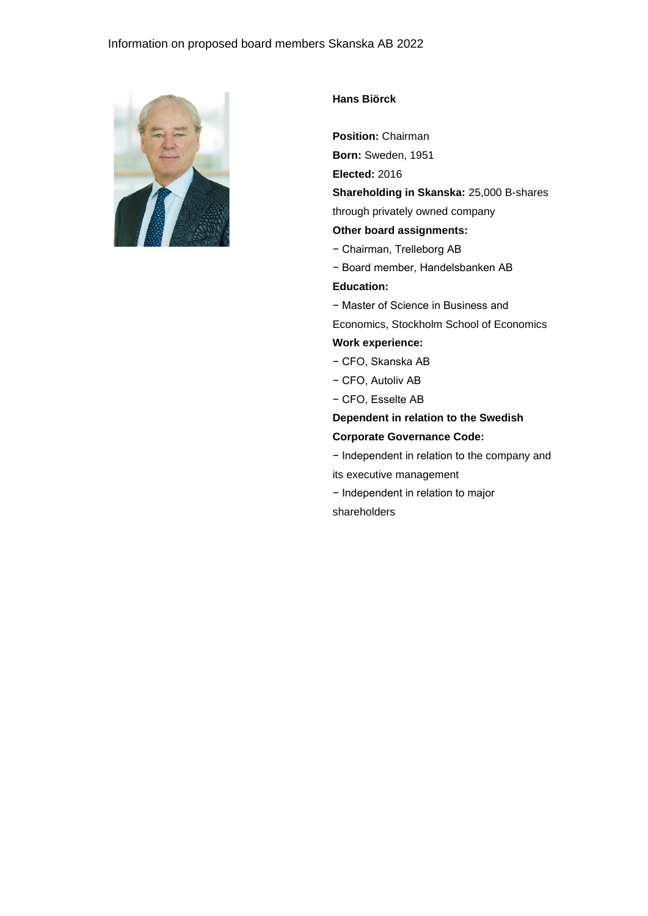

## **Hans Biörck**

**Position:** Chairman

**Born:** Sweden, 1951

**Elected:** 2016

**Shareholding in Skanska:** 25,000 B-shares

through privately owned company

# **Other board assignments:**

- − Chairman, Trelleborg AB
- − Board member, Handelsbanken AB

**Education:**

− Master of Science in Business and

Economics, Stockholm School of Economics

# **Work experience:**

- − CFO, Skanska AB
- − CFO, Autoliv AB
- − CFO, Esselte AB

**Dependent in relation to the Swedish Corporate Governance Code:**

− Independent in relation to the company and its executive management

− Independent in relation to major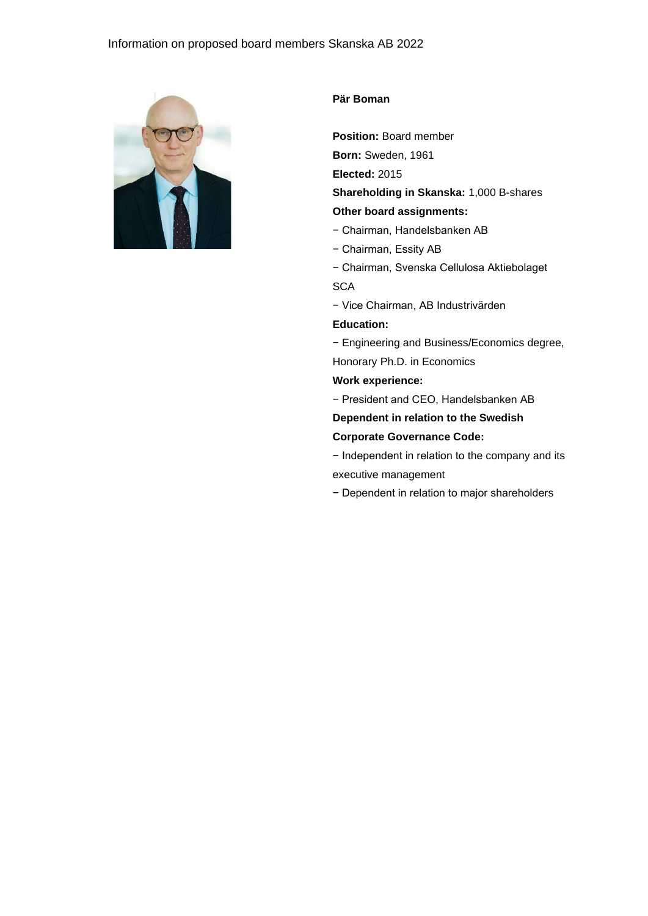# Information on proposed board members Skanska AB 2022



#### **Pär Boman**

**Position:** Board member

**Born:** Sweden, 1961

**Elected:** 2015

**Shareholding in Skanska:** 1,000 B-shares

#### **Other board assignments:**

- − Chairman, Handelsbanken AB
- − Chairman, Essity AB
- − Chairman, Svenska Cellulosa Aktiebolaget **SCA**
- − Vice Chairman, AB Industrivärden

### **Education:**

− Engineering and Business/Economics degree,

Honorary Ph.D. in Economics

# **Work experience:**

- − President and CEO, Handelsbanken AB
- **Dependent in relation to the Swedish**
- **Corporate Governance Code:**
- − Independent in relation to the company and its executive management
- − Dependent in relation to major shareholders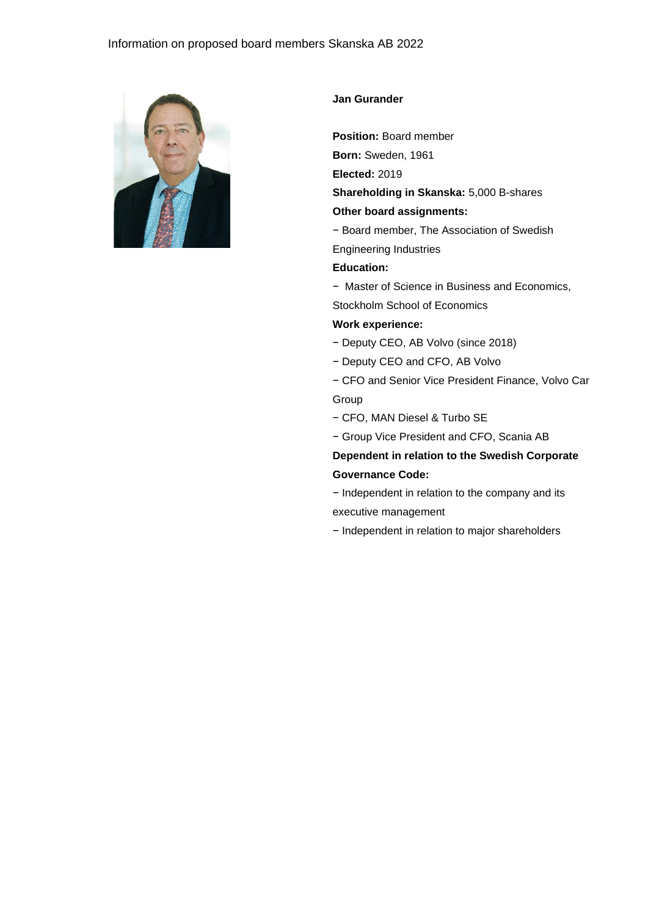## Information on proposed board members Skanska AB 2022



#### **Jan Gurander**

**Position:** Board member

**Born:** Sweden, 1961

**Elected:** 2019

**Shareholding in Skanska:** 5,000 B-shares

#### **Other board assignments:**

− Board member, The Association of Swedish

Engineering Industries

# **Education:**

− Master of Science in Business and Economics,

Stockholm School of Economics

#### **Work experience:**

- − Deputy CEO, AB Volvo (since 2018)
- − Deputy CEO and CFO, AB Volvo

− CFO and Senior Vice President Finance, Volvo Car Group

- − CFO, MAN Diesel & Turbo SE
- − Group Vice President and CFO, Scania AB

# **Dependent in relation to the Swedish Corporate Governance Code:**

− Independent in relation to the company and its executive management

− Independent in relation to major shareholders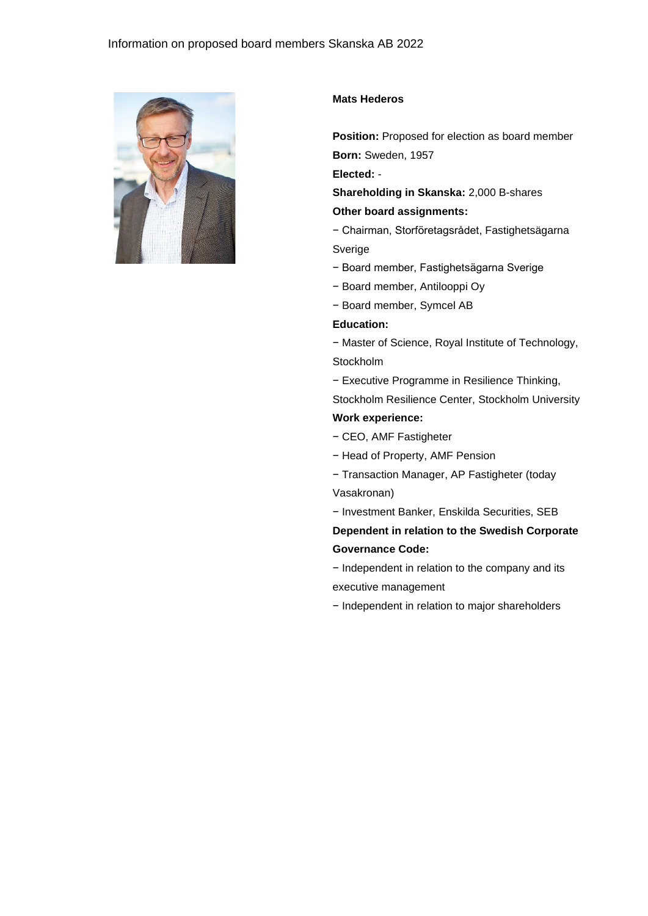

#### **Mats Hederos**

**Position:** Proposed for election as board member **Born:** Sweden, 1957

**Elected:** -

**Shareholding in Skanska:** 2,000 B-shares **Other board assignments:**

− Chairman, Storföretagsrådet, Fastighetsägarna Sverige

− Board member, Fastighetsägarna Sverige

- − Board member, Antilooppi Oy
- − Board member, Symcel AB

#### **Education:**

− Master of Science, Royal Institute of Technology, Stockholm

− Executive Programme in Resilience Thinking,

Stockholm Resilience Center, Stockholm University **Work experience:**

- − CEO, AMF Fastigheter
- − Head of Property, AMF Pension

− Transaction Manager, AP Fastigheter (today Vasakronan)

− Investment Banker, Enskilda Securities, SEB

**Dependent in relation to the Swedish Corporate Governance Code:**

− Independent in relation to the company and its executive management

− Independent in relation to major shareholders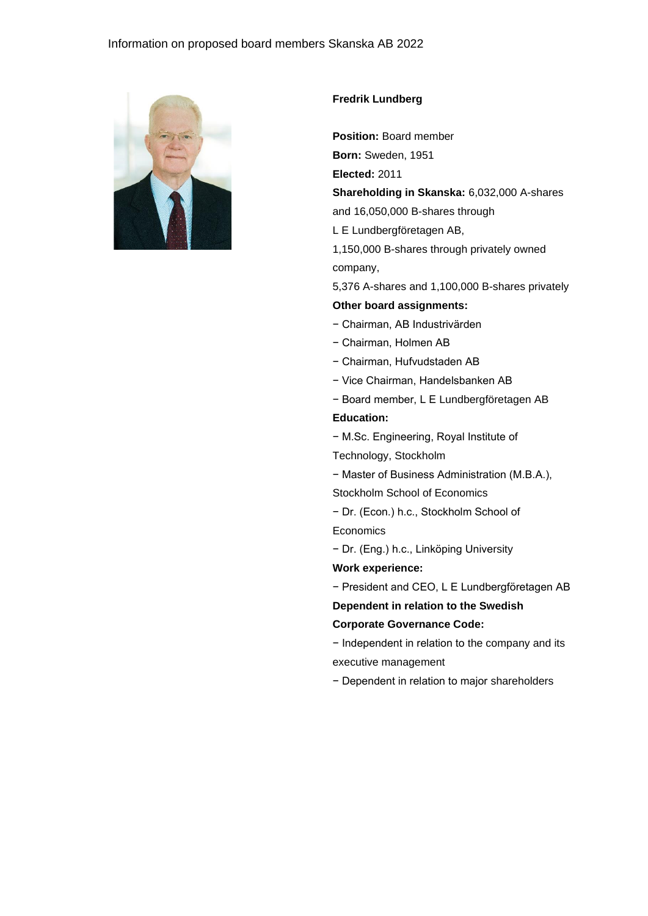

# **Fredrik Lundberg**

**Position:** Board member

**Born:** Sweden, 1951

**Elected:** 2011

**Shareholding in Skanska:** 6,032,000 A-shares

and 16,050,000 B-shares through

L E Lundbergföretagen AB,

1,150,000 B-shares through privately owned company,

5,376 A-shares and 1,100,000 B-shares privately

#### **Other board assignments:**

- − Chairman, AB Industrivärden
- − Chairman, Holmen AB
- − Chairman, Hufvudstaden AB
- − Vice Chairman, Handelsbanken AB
- − Board member, L E Lundbergföretagen AB

#### **Education:**

− M.Sc. Engineering, Royal Institute of

Technology, Stockholm

− Master of Business Administration (M.B.A.),

Stockholm School of Economics

− Dr. (Econ.) h.c., Stockholm School of **Economics** 

− Dr. (Eng.) h.c., Linköping University

**Work experience:** 

− President and CEO, L E Lundbergföretagen AB

**Dependent in relation to the Swedish** 

**Corporate Governance Code:**

− Independent in relation to the company and its executive management

− Dependent in relation to major shareholders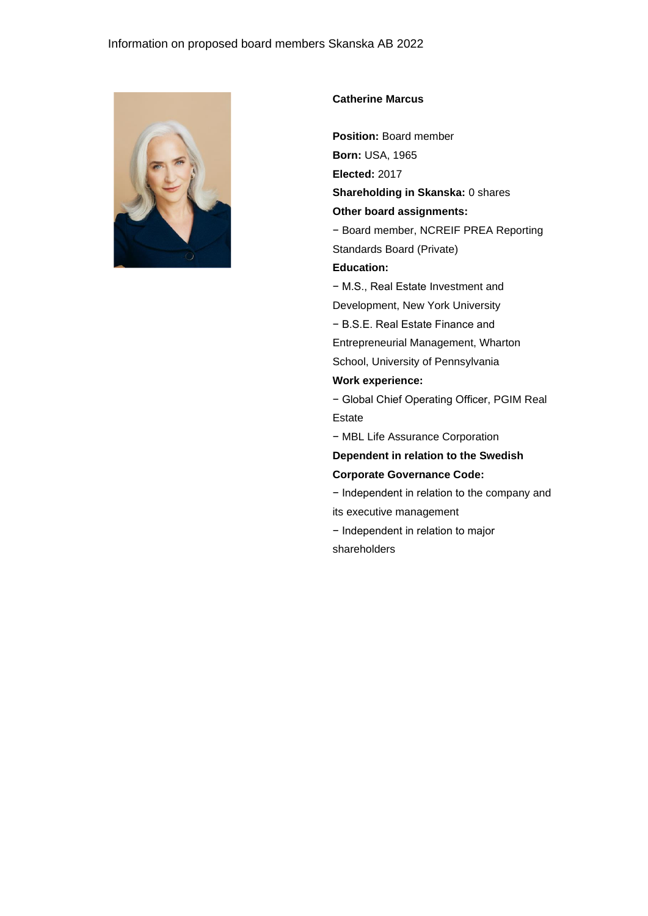

#### **Catherine Marcus**

**Position:** Board member **Born:** USA, 1965

**Elected:** 2017

**Shareholding in Skanska:** 0 shares

### **Other board assignments:**

− Board member, NCREIF PREA Reporting Standards Board (Private)

# **Education:**

− M.S., Real Estate Investment and

Development, New York University

− B.S.E. Real Estate Finance and

Entrepreneurial Management, Wharton

# School, University of Pennsylvania

# **Work experience:**

− Global Chief Operating Officer, PGIM Real Estate

− MBL Life Assurance Corporation

### **Dependent in relation to the Swedish**

**Corporate Governance Code:**

− Independent in relation to the company and its executive management

− Independent in relation to major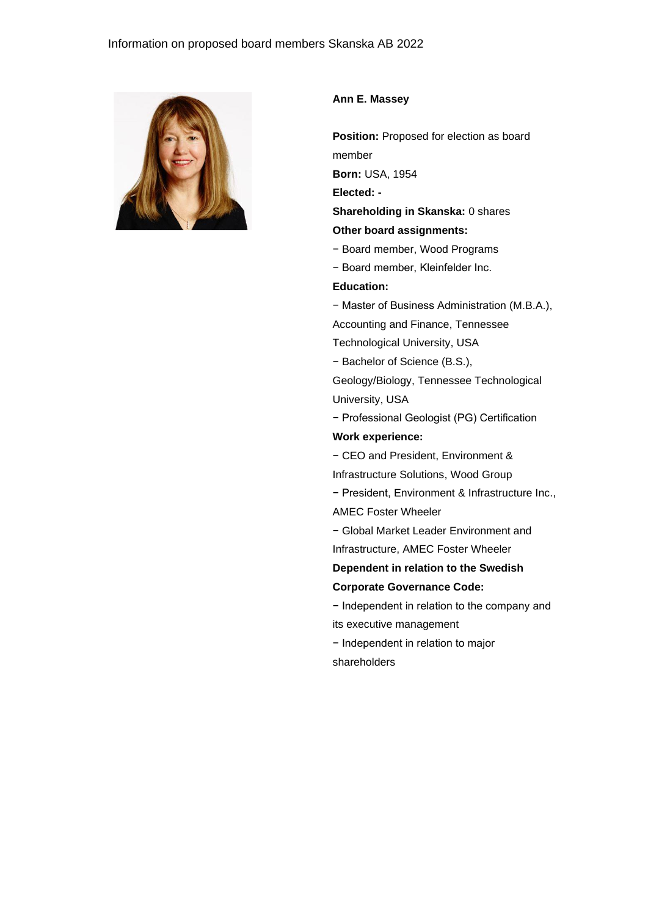

#### **Ann E. Massey**

**Position:** Proposed for election as board member **Born:** USA, 1954

**Elected: -**

**Shareholding in Skanska:** 0 shares

# **Other board assignments:**

- − Board member, Wood Programs
- − Board member, Kleinfelder Inc.

#### **Education:**

− Master of Business Administration (M.B.A.),

Accounting and Finance, Tennessee

Technological University, USA

− Bachelor of Science (B.S.),

Geology/Biology, Tennessee Technological University, USA

− Professional Geologist (PG) Certification **Work experience:**

− CEO and President, Environment &

Infrastructure Solutions, Wood Group

− President, Environment & Infrastructure Inc.,

AMEC Foster Wheeler

− Global Market Leader Environment and Infrastructure, AMEC Foster Wheeler

**Dependent in relation to the Swedish Corporate Governance Code:** 

− Independent in relation to the company and its executive management

− Independent in relation to major